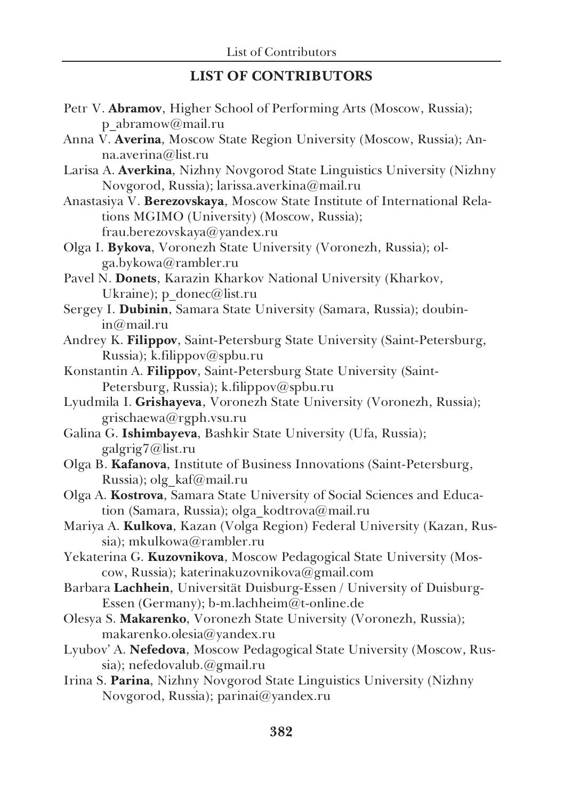## LIST OF CONTRIBUTORS

| Petr V. Abramov, Higher School of Performing Arts (Moscow, Russia);       |
|---------------------------------------------------------------------------|
| p abramow@mail.ru                                                         |
| Anna V. Averina, Moscow State Region University (Moscow, Russia); An-     |
| na.averina@list.ru                                                        |
| Larisa A. Averkina, Nizhny Novgorod State Linguistics University (Nizhny  |
| Novgorod, Russia); larissa.averkina@mail.ru                               |
| Anastasiya V. Berezovskaya, Moscow State Institute of International Rela- |
| tions MGIMO (University) (Moscow, Russia);                                |
| frau.berezovskaya@yandex.ru                                               |
| Olga I. Bykova, Voronezh State University (Voronezh, Russia); ol-         |
| ga.bykowa@rambler.ru                                                      |
| Pavel N. Donets, Karazin Kharkov National University (Kharkov,            |
| Ukraine); p_donec@list.ru                                                 |
| Sergey I. Dubinin, Samara State University (Samara, Russia); doubin-      |
| in@mail.ru                                                                |
| Andrey K. Filippov, Saint-Petersburg State University (Saint-Petersburg,  |
| Russia); k.filippov@spbu.ru                                               |
| Konstantin A. Filippov, Saint-Petersburg State University (Saint-         |
| Petersburg, Russia); k.filippov@spbu.ru                                   |
| Lyudmila I. Grishayeva, Voronezh State University (Voronezh, Russia);     |
| grischaewa@rgph.vsu.ru                                                    |
| Galina G. Ishimbayeva, Bashkir State University (Ufa, Russia);            |
| galgrig7@list.ru                                                          |
| Olga B. Kafanova, Institute of Business Innovations (Saint-Petersburg,    |
| Russia); olg kaf@mail.ru                                                  |
| Olga A. Kostrova, Samara State University of Social Sciences and Educa-   |
| tion (Samara, Russia); olga_kodtrova@mail.ru                              |
| Mariya A. Kulkova, Kazan (Volga Region) Federal University (Kazan, Rus-   |
| sia); mkulkowa@rambler.ru                                                 |
| Yekaterina G. Kuzovnikova, Moscow Pedagogical State University (Mos-      |
| cow, Russia); katerinakuzovnikova@gmail.com                               |
| Barbara Lachhein, Universität Duisburg-Essen / University of Duisburg-    |
| Essen (Germany); b-m.lachheim@t-online.de                                 |
| Olesya S. Makarenko, Voronezh State University (Voronezh, Russia);        |
| makarenko.olesia@yandex.ru                                                |
| Lyubov' A. Nefedova, Moscow Pedagogical State University (Moscow, Rus-    |
| sia); nefedovalub.@gmail.ru                                               |

Irina S. Parina, Nizhny Novgorod State Linguistics University (Nizhny Novgorod, Russia); parinai@yandex.ru